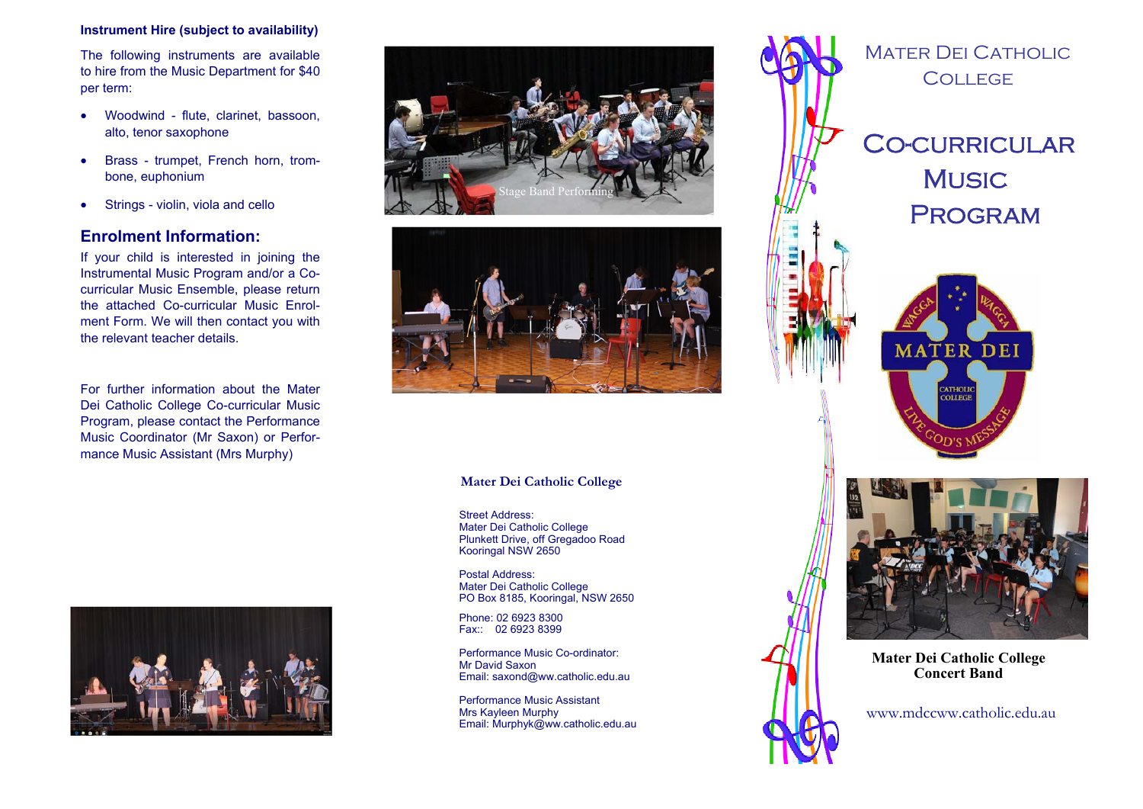# **Instrument Hire (subject to availability)**

The following instruments are available to hire from the Music Department for \$40 per term:

- Woodwind flute, clarinet, bassoon, alto, tenor saxophone
- $\bullet$  Brass - trumpet, French horn, trombone, euphonium
- $\bullet$ Strings - violin, viola and cello

# **Enrolment Information:**

If your child is interested in joining the Instrumental Music Program and/or a Cocurricular Music Ensemble, please return the attached Co-curricular Music Enrolment Form. We will then contact you with the relevant teacher details.

For further information about the Mater Dei Catholic College Co-curricular Music Program, please contact the Performance Music Coordinator (Mr Saxon) or Performance Music Assistant (Mrs Murphy)







# **Mater Dei Catholic College**

Street Address: Mater Dei Catholic College Plunkett Drive, off Gregadoo Road Kooringal NSW 2650

Postal Address: Mater Dei Catholic College PO Box 8185, Kooringal, NSW 2650

Phone: 02 6923 8300 Fax:: 02 6923 8399

Performance Music Co-ordinator: Mr David Saxon Email: saxond@ww.catholic.edu.au

Performance Music Assistant Mrs Kayleen Murphy Email: Murphyk@ww.catholic.edu.au



www.mdccww.catholic.edu.au